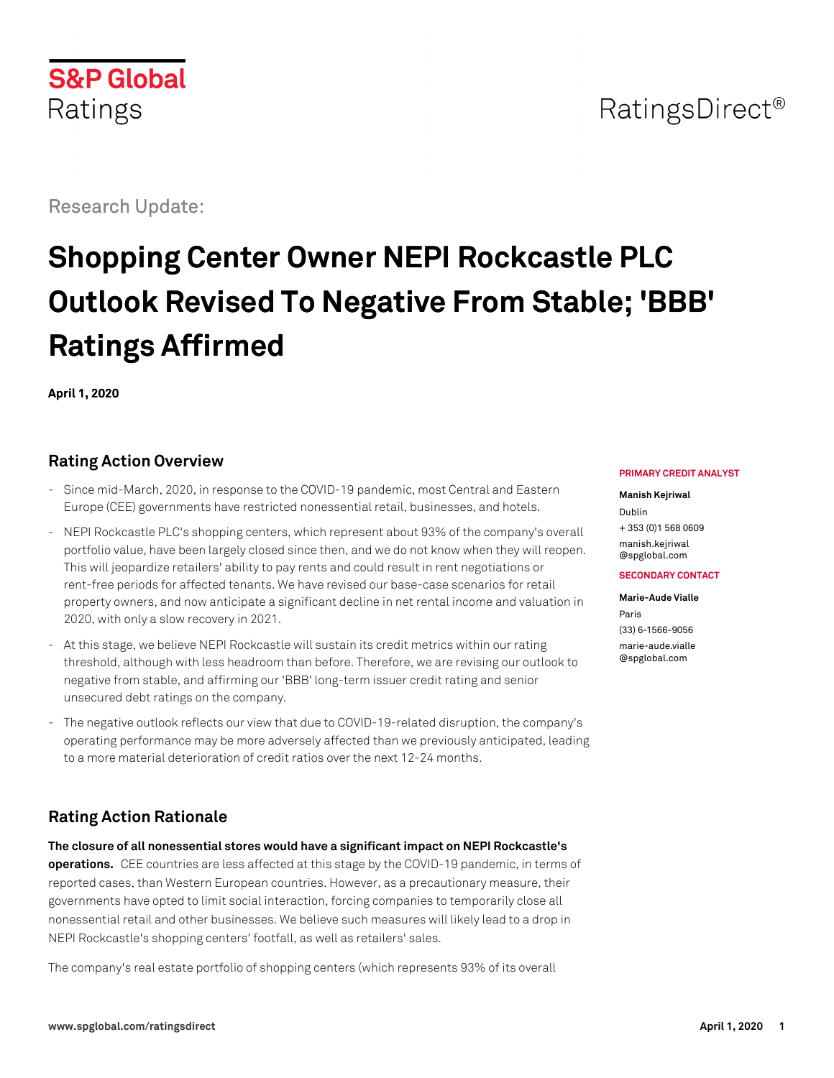Research Update:

**S&P Global** 

Ratings

# **Shopping Center Owner NEPI Rockcastle PLC Outlook Revised To Negative From Stable; 'BBB' Ratings Affirmed**

**April 1, 2020**

# **Rating Action Overview**

- Since mid-March, 2020, in response to the COVID-19 pandemic, most Central and Eastern Europe (CEE) governments have restricted nonessential retail, businesses, and hotels.
- NEPI Rockcastle PLC's shopping centers, which represent about 93% of the company's overall portfolio value, have been largely closed since then, and we do not know when they will reopen. This will jeopardize retailers' ability to pay rents and could result in rent negotiations or rent-free periods for affected tenants. We have revised our base-case scenarios for retail property owners, and now anticipate a significant decline in net rental income and valuation in 2020, with only a slow recovery in 2021.
- At this stage, we believe NEPI Rockcastle will sustain its credit metrics within our rating threshold, although with less headroom than before. Therefore, we are revising our outlook to negative from stable, and affirming our 'BBB' long-term issuer credit rating and senior unsecured debt ratings on the company.
- The negative outlook reflects our view that due to COVID-19-related disruption, the company's operating performance may be more adversely affected than we previously anticipated, leading to a more material deterioration of credit ratios over the next 12-24 months.

# **Rating Action Rationale**

**The closure of all nonessential stores would have a significant impact on NEPI Rockcastle's operations.** CEE countries are less affected at this stage by the COVID-19 pandemic, in terms of reported cases, than Western European countries. However, as a precautionary measure, their governments have opted to limit social interaction, forcing companies to temporarily close all nonessential retail and other businesses. We believe such measures will likely lead to a drop in NEPI Rockcastle's shopping centers' footfall, as well as retailers' sales.

The company's real estate portfolio of shopping centers (which represents 93% of its overall

#### **PRIMARY CREDIT ANALYST**

RatingsDirect<sup>®</sup>

#### **Manish Kejriwal**

Dublin + 353 (0)1 568 0609 [manish.kejriwal](mailto:manish.kejriwal@spglobal.com) [@spglobal.com](mailto:manish.kejriwal@spglobal.com)

#### **SECONDARY CONTACT**

**Marie-Aude Vialle** Paris (33) 6-1566-9056 [marie-aude.vialle](mailto:marie-aude.vialle@spglobal.com) [@spglobal.com](mailto:marie-aude.vialle@spglobal.com)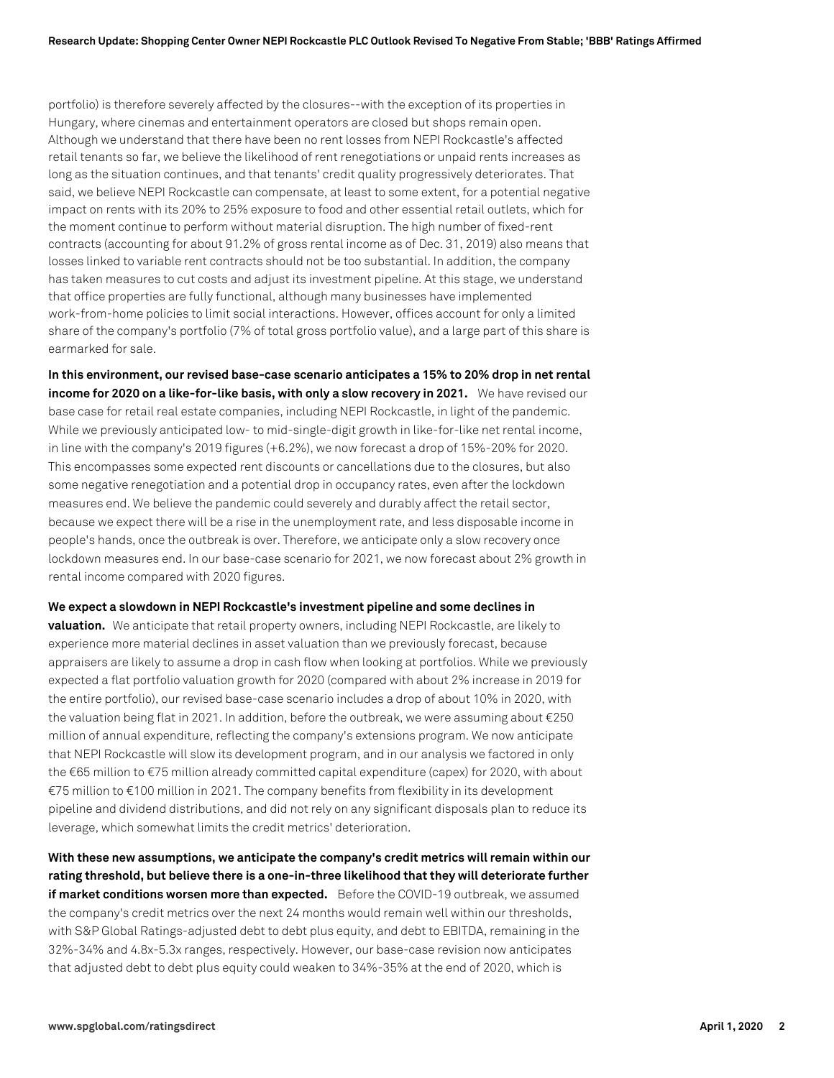portfolio) is therefore severely affected by the closures--with the exception of its properties in Hungary, where cinemas and entertainment operators are closed but shops remain open. Although we understand that there have been no rent losses from NEPI Rockcastle's affected retail tenants so far, we believe the likelihood of rent renegotiations or unpaid rents increases as long as the situation continues, and that tenants' credit quality progressively deteriorates. That said, we believe NEPI Rockcastle can compensate, at least to some extent, for a potential negative impact on rents with its 20% to 25% exposure to food and other essential retail outlets, which for the moment continue to perform without material disruption. The high number of fixed-rent contracts (accounting for about 91.2% of gross rental income as of Dec. 31, 2019) also means that losses linked to variable rent contracts should not be too substantial. In addition, the company has taken measures to cut costs and adjust its investment pipeline. At this stage, we understand that office properties are fully functional, although many businesses have implemented work-from-home policies to limit social interactions. However, offices account for only a limited share of the company's portfolio (7% of total gross portfolio value), and a large part of this share is earmarked for sale.

**In this environment, our revised base-case scenario anticipates a 15% to 20% drop in net rental income for 2020 on a like-for-like basis, with only a slow recovery in 2021.** We have revised our base case for retail real estate companies, including NEPI Rockcastle, in light of the pandemic. While we previously anticipated low- to mid-single-digit growth in like-for-like net rental income, in line with the company's 2019 figures (+6.2%), we now forecast a drop of 15%-20% for 2020. This encompasses some expected rent discounts or cancellations due to the closures, but also some negative renegotiation and a potential drop in occupancy rates, even after the lockdown measures end. We believe the pandemic could severely and durably affect the retail sector, because we expect there will be a rise in the unemployment rate, and less disposable income in people's hands, once the outbreak is over. Therefore, we anticipate only a slow recovery once lockdown measures end. In our base-case scenario for 2021, we now forecast about 2% growth in rental income compared with 2020 figures.

**We expect a slowdown in NEPI Rockcastle's investment pipeline and some declines in**

**valuation.** We anticipate that retail property owners, including NEPI Rockcastle, are likely to experience more material declines in asset valuation than we previously forecast, because appraisers are likely to assume a drop in cash flow when looking at portfolios. While we previously expected a flat portfolio valuation growth for 2020 (compared with about 2% increase in 2019 for the entire portfolio), our revised base-case scenario includes a drop of about 10% in 2020, with the valuation being flat in 2021. In addition, before the outbreak, we were assuming about €250 million of annual expenditure, reflecting the company's extensions program. We now anticipate that NEPI Rockcastle will slow its development program, and in our analysis we factored in only the €65 million to €75 million already committed capital expenditure (capex) for 2020, with about €75 million to €100 million in 2021. The company benefits from flexibility in its development pipeline and dividend distributions, and did not rely on any significant disposals plan to reduce its leverage, which somewhat limits the credit metrics' deterioration.

**With these new assumptions, we anticipate the company's credit metrics will remain within our rating threshold, but believe there is a one-in-three likelihood that they will deteriorate further if market conditions worsen more than expected.** Before the COVID-19 outbreak, we assumed the company's credit metrics over the next 24 months would remain well within our thresholds, with S&P Global Ratings-adjusted debt to debt plus equity, and debt to EBITDA, remaining in the 32%-34% and 4.8x-5.3x ranges, respectively. However, our base-case revision now anticipates that adjusted debt to debt plus equity could weaken to 34%-35% at the end of 2020, which is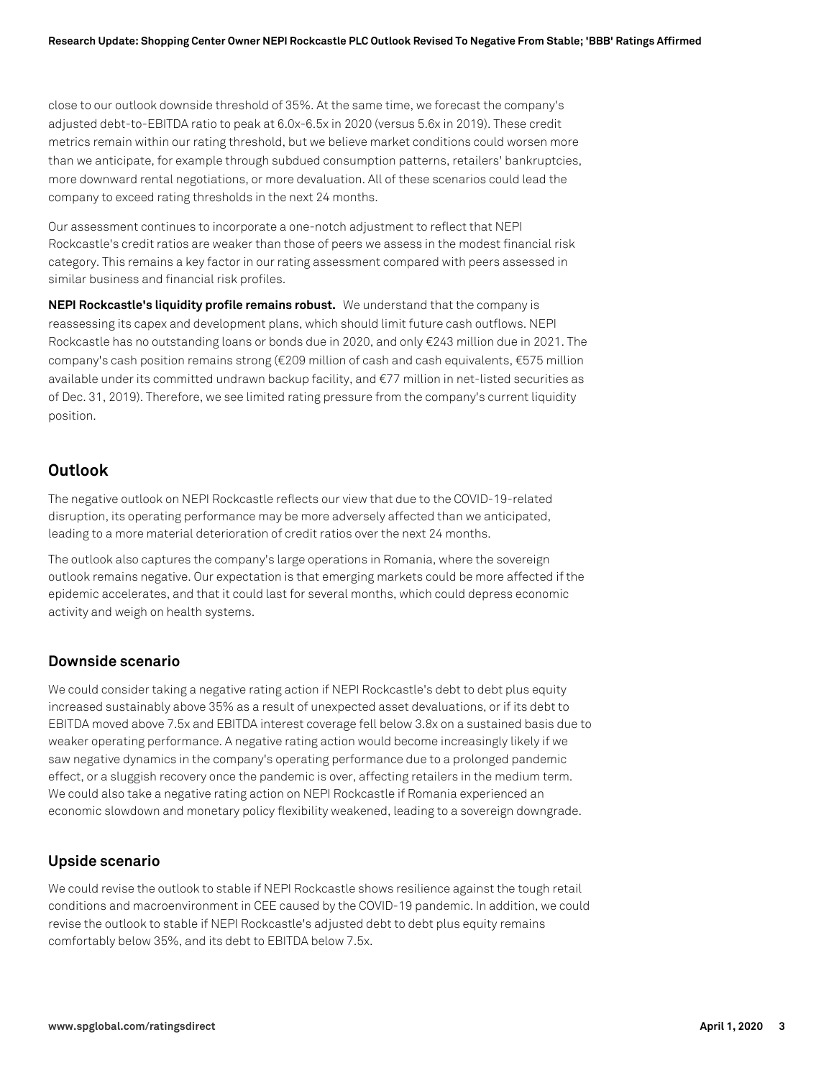close to our outlook downside threshold of 35%. At the same time, we forecast the company's adjusted debt-to-EBITDA ratio to peak at 6.0x-6.5x in 2020 (versus 5.6x in 2019). These credit metrics remain within our rating threshold, but we believe market conditions could worsen more than we anticipate, for example through subdued consumption patterns, retailers' bankruptcies, more downward rental negotiations, or more devaluation. All of these scenarios could lead the company to exceed rating thresholds in the next 24 months.

Our assessment continues to incorporate a one-notch adjustment to reflect that NEPI Rockcastle's credit ratios are weaker than those of peers we assess in the modest financial risk category. This remains a key factor in our rating assessment compared with peers assessed in similar business and financial risk profiles.

**NEPI Rockcastle's liquidity profile remains robust.** We understand that the company is reassessing its capex and development plans, which should limit future cash outflows. NEPI Rockcastle has no outstanding loans or bonds due in 2020, and only €243 million due in 2021. The company's cash position remains strong (€209 million of cash and cash equivalents, €575 million available under its committed undrawn backup facility, and €77 million in net-listed securities as of Dec. 31, 2019). Therefore, we see limited rating pressure from the company's current liquidity position.

# **Outlook**

The negative outlook on NEPI Rockcastle reflects our view that due to the COVID-19-related disruption, its operating performance may be more adversely affected than we anticipated, leading to a more material deterioration of credit ratios over the next 24 months.

The outlook also captures the company's large operations in Romania, where the sovereign outlook remains negative. Our expectation is that emerging markets could be more affected if the epidemic accelerates, and that it could last for several months, which could depress economic activity and weigh on health systems.

### **Downside scenario**

We could consider taking a negative rating action if NEPI Rockcastle's debt to debt plus equity increased sustainably above 35% as a result of unexpected asset devaluations, or if its debt to EBITDA moved above 7.5x and EBITDA interest coverage fell below 3.8x on a sustained basis due to weaker operating performance. A negative rating action would become increasingly likely if we saw negative dynamics in the company's operating performance due to a prolonged pandemic effect, or a sluggish recovery once the pandemic is over, affecting retailers in the medium term. We could also take a negative rating action on NEPI Rockcastle if Romania experienced an economic slowdown and monetary policy flexibility weakened, leading to a sovereign downgrade.

### **Upside scenario**

We could revise the outlook to stable if NEPI Rockcastle shows resilience against the tough retail conditions and macroenvironment in CEE caused by the COVID-19 pandemic. In addition, we could revise the outlook to stable if NEPI Rockcastle's adjusted debt to debt plus equity remains comfortably below 35%, and its debt to EBITDA below 7.5x.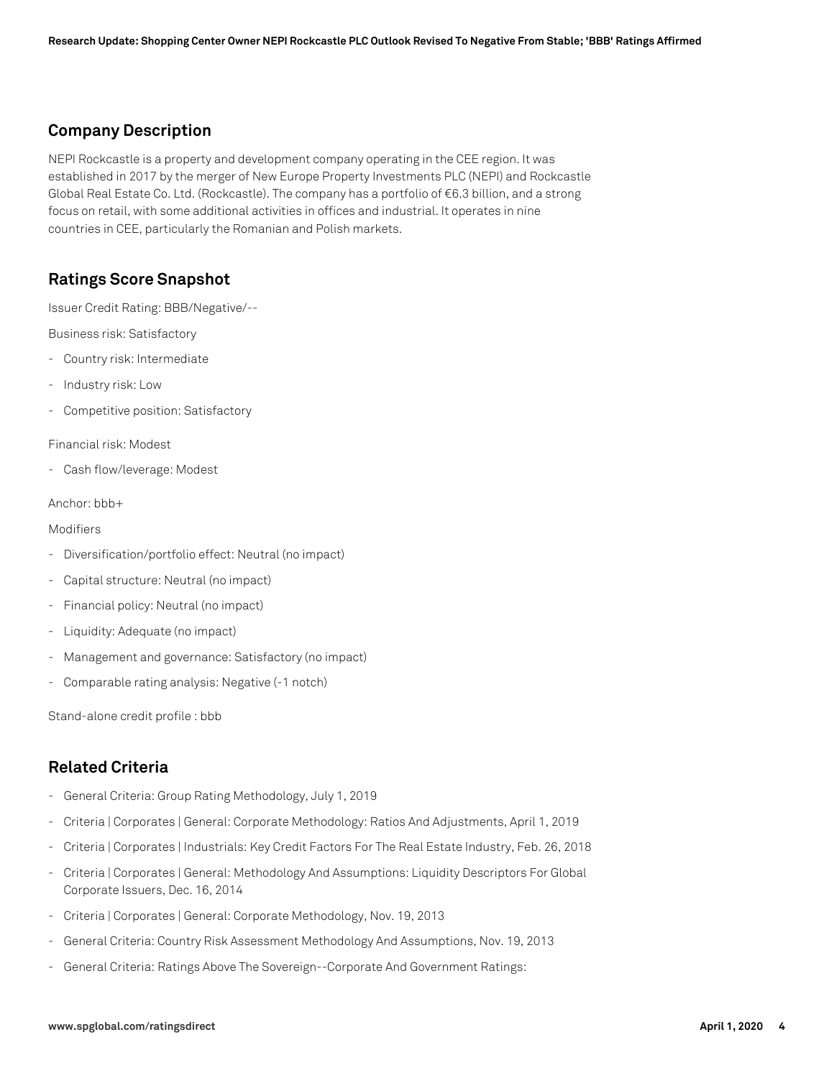# **Company Description**

NEPI Rockcastle is a property and development company operating in the CEE region. It was established in 2017 by the merger of New Europe Property Investments PLC (NEPI) and Rockcastle Global Real Estate Co. Ltd. (Rockcastle). The company has a portfolio of €6.3 billion, and a strong focus on retail, with some additional activities in offices and industrial. It operates in nine countries in CEE, particularly the Romanian and Polish markets.

# **Ratings Score Snapshot**

Issuer Credit Rating: BBB/Negative/--

Business risk: Satisfactory

- Country risk: Intermediate
- Industry risk: Low
- Competitive position: Satisfactory

Financial risk: Modest

- Cash flow/leverage: Modest

Anchor: bbb+

#### Modifiers

- Diversification/portfolio effect: Neutral (no impact)
- Capital structure: Neutral (no impact)
- Financial policy: Neutral (no impact)
- Liquidity: Adequate (no impact)
- Management and governance: Satisfactory (no impact)
- Comparable rating analysis: Negative (-1 notch)

Stand-alone credit profile : bbb

# **Related Criteria**

- General Criteria: Group Rating Methodology, July 1, 2019
- Criteria | Corporates | General: Corporate Methodology: Ratios And Adjustments, April 1, 2019
- Criteria | Corporates | Industrials: Key Credit Factors For The Real Estate Industry, Feb. 26, 2018
- Criteria | Corporates | General: Methodology And Assumptions: Liquidity Descriptors For Global Corporate Issuers, Dec. 16, 2014
- Criteria | Corporates | General: Corporate Methodology, Nov. 19, 2013
- General Criteria: Country Risk Assessment Methodology And Assumptions, Nov. 19, 2013
- General Criteria: Ratings Above The Sovereign--Corporate And Government Ratings: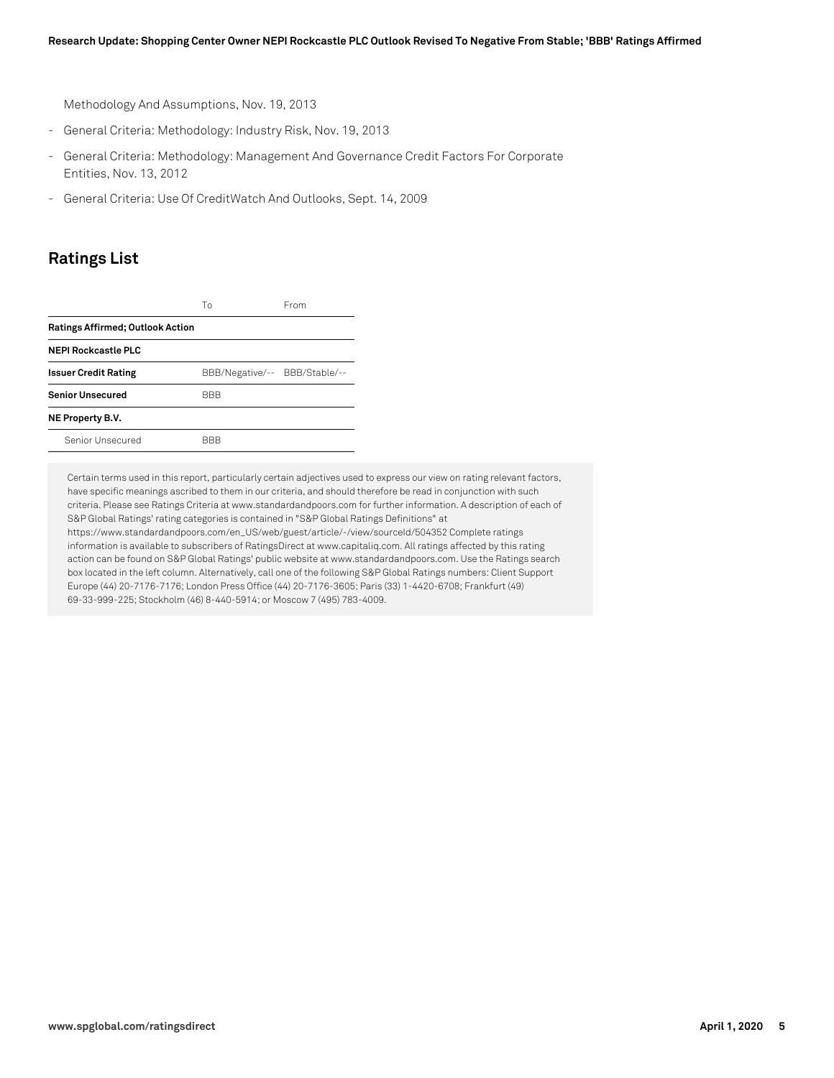Methodology And Assumptions, Nov. 19, 2013

- General Criteria: Methodology: Industry Risk, Nov. 19, 2013
- General Criteria: Methodology: Management And Governance Credit Factors For Corporate Entities, Nov. 13, 2012
- General Criteria: Use Of CreditWatch And Outlooks, Sept. 14, 2009

## **Ratings List**

|                                         | Тο         | From                          |
|-----------------------------------------|------------|-------------------------------|
| <b>Ratings Affirmed; Outlook Action</b> |            |                               |
| <b>NEPI Rockcastle PLC</b>              |            |                               |
| <b>Issuer Credit Rating</b>             |            | BBB/Negative/-- BBB/Stable/-- |
| <b>Senior Unsecured</b>                 | <b>BBB</b> |                               |
| NE Property B.V.                        |            |                               |
| Senior Unsecured                        | BBB        |                               |

Certain terms used in this report, particularly certain adjectives used to express our view on rating relevant factors, have specific meanings ascribed to them in our criteria, and should therefore be read in conjunction with such criteria. Please see Ratings Criteria at www.standardandpoors.com for further information. A description of each of S&P Global Ratings' rating categories is contained in "S&P Global Ratings Definitions" at https://www.standardandpoors.com/en\_US/web/guest/article/-/view/sourceId/504352 Complete ratings

information is available to subscribers of RatingsDirect at www.capitaliq.com. All ratings affected by this rating action can be found on S&P Global Ratings' public website at www.standardandpoors.com. Use the Ratings search box located in the left column. Alternatively, call one of the following S&P Global Ratings numbers: Client Support Europe (44) 20-7176-7176; London Press Office (44) 20-7176-3605; Paris (33) 1-4420-6708; Frankfurt (49) 69-33-999-225; Stockholm (46) 8-440-5914; or Moscow 7 (495) 783-4009.